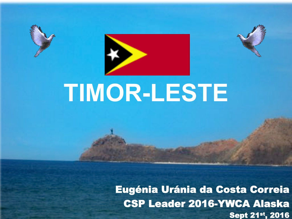



# **TIMOR-LESTE**

Eugénia Uránia da Costa Correia CSP Leader 2016-YWCA Alaska Sept 21st, 2016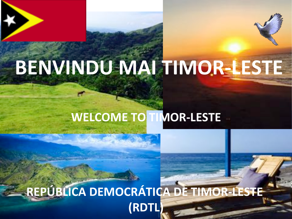

#### WELCOME TO TIMOR-LESTE

#### REPÚBLICA DEMOCRÁTICA DE TIMOR-LESTE **(RDTL**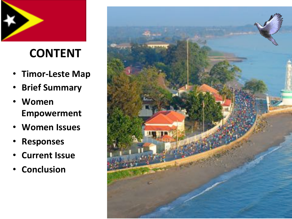

#### **CONTENT(**

- **Timor-Leste Map**
- **Brief Summary**
- **Women( Empowerment**
- Women Issues
- **Responses(**
- **Current Issue**
- **Conclusion(**

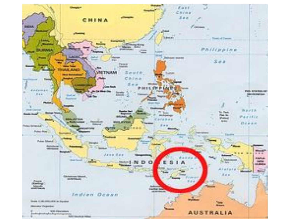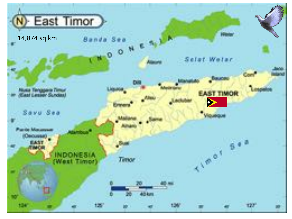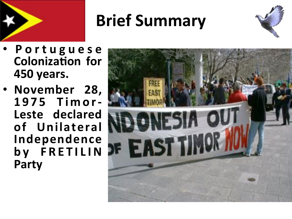

# **Brief Summary**



- **P o r t u g u e s e( Colonization for 450 years.**
- November 28, **1975( Timor.** Leste declared of Unilateral Independence by FRETILIN **Party(**

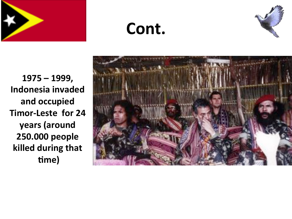







**1975(–(1999,( Indonesia invaded** and occupied **Timor-Leste for 24 years((around( 250.000 people killed during that**  $time)$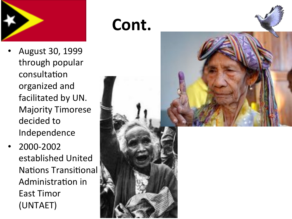

- August 30, 1999 through popular consultation organized and facilitated by UN. **Majority Timorese** decided to Independence
- 2000-2002 established United **Nations Transitional** Administration in **East Timor** (UNTAET)

#### Cont.

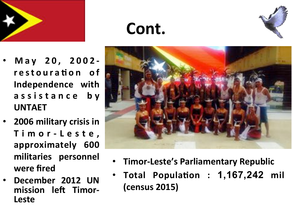

### Cont.



- **May( 20,( 2002 .**  $r$  e stour a tion of **Independence with a s s i s t a n c e ( b y( UNTAET(**
- **2006 military crisis in T i m o r . L e s t e ,( approximately( 600( militaries( personnel( were fired**
- December 2012 UN mission left Timor-**Leste(**



- **Timor-Leste's Parliamentary Republic**
- **Total Population : 1,167,242 mil (census(2015)(**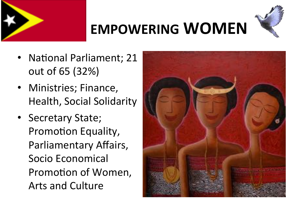



# **EMPOWERING WOMEN**

- National Parliament; 21 out of 65 (32%)
- Ministries; Finance, Health, Social Solidarity
- Secretary State; Promotion Equality, Parliamentary Affairs, Socio Economical Promotion of Women, Arts and Culture

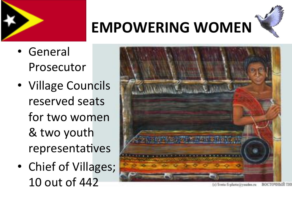

- General Prosecutor
- Village Councils reserved seats for two women & two youth representatives
- Chief of Villages; 10 out of 442



**EMPOWERING WOMEN** 

(c) Systa-S-photo-jryanden.ru **BOCTORBILE**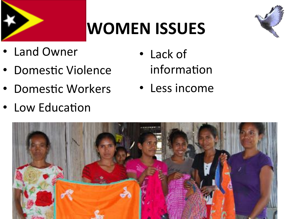

# **WOMEN ISSUES**



- Land Owner
- Domestic Violence
- Domestic Workers
- Low Education
- Lack of information
- Less income

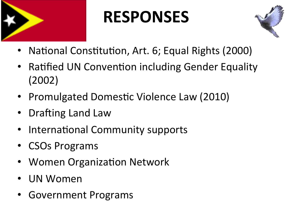

# **RESPONSES**



- National Constitution, Art. 6; Equal Rights (2000)
- Ratified UN Convention including Gender Equality  $(2002)$
- Promulgated Domestic Violence Law (2010)
- Drafting Land Law
- **International Community supports**
- CSOs Programs
- Women Organization Network
- UN Women
- Government Programs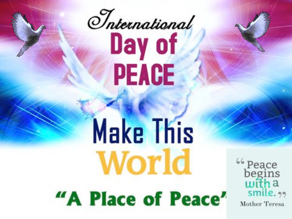

# **Make This** World "A Place of Peace"

<sup>66</sup> Peace<br>begins<br>with a<br>smile. <sub>99</sub> **Mother Teresa**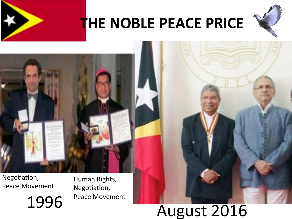

#### **THE NOBLE PEACE PRICE**





Negotiation, Peace Movement Human Rights, Negotiation, Peace Movement

# 1996 Peace Movement<br>
August 2016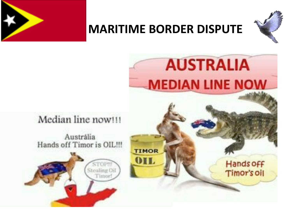

#### **MARITIME BORDER DISPUTE**



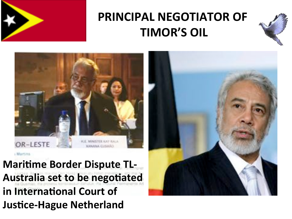

#### PRINCIPAL NEGOTIATOR OF **TIMOR'S OIL**





**Maritime Border Dispute TL-**Australia set to be negotiated in International Court of **Justice-Hague Netherland** 

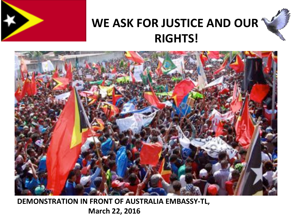

#### WE ASK FOR JUSTICE AND OUR **RIGHTS!(**



DEMONSTRATION IN FRONT OF AUSTRALIA EMBASSY-TL, **March 22, 2016**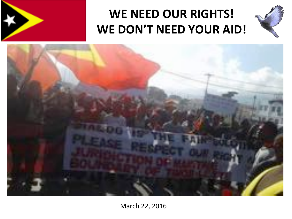

#### WE NEED OUR RIGHTS! WE DON'T NEED YOUR AID!





March 22, 2016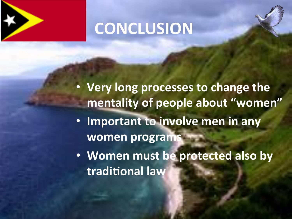

## **CONCLUSION(**

• Very long processes to change the mentality of people about "women"

**• Important to involve men in any** women programs

• Women must be protected also by traditional law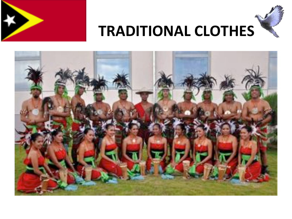



## **TRADITIONAL CLOTHES**

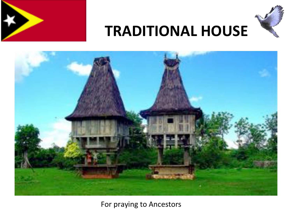



#### **TRADITIONAL HOUSE**



For praying to Ancestors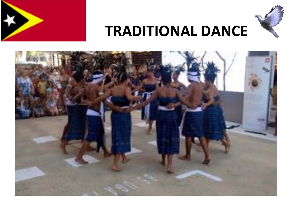



## **TRADITIONAL DANCE**